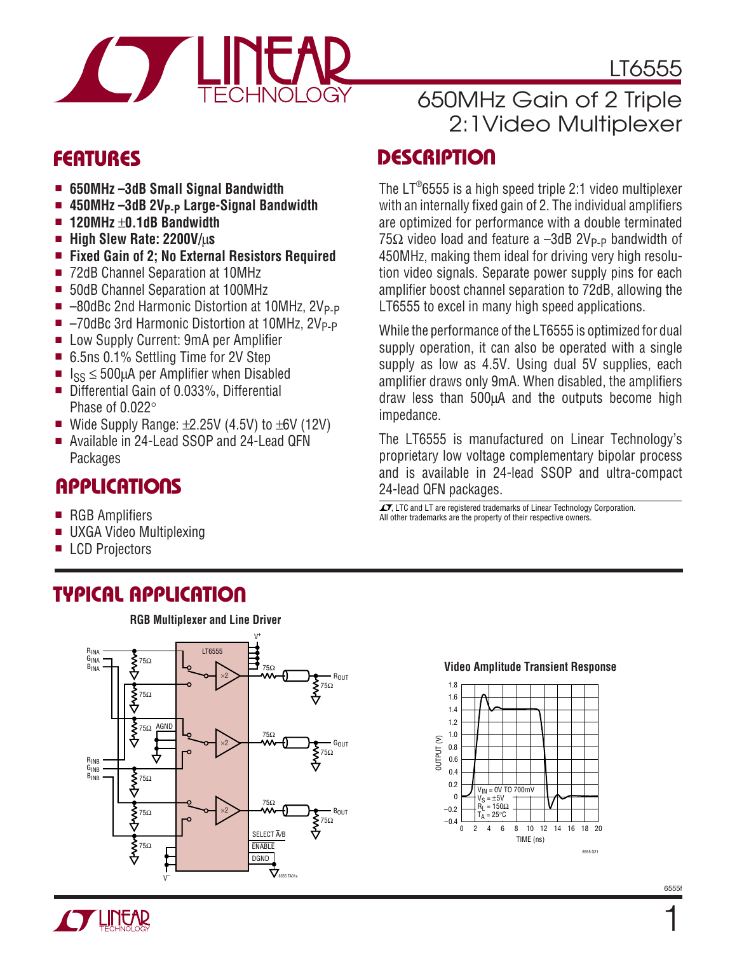

LT6555

### 650MHz Gain of 2 Triple 2:1Video Multiplexer

The LT®6555 is a high speed triple 2:1 video multiplexer with an internally fixed gain of 2. The individual amplifiers are optimized for performance with a double terminated  $75\Omega$  video load and feature a -3dB 2V<sub>P-P</sub> bandwidth of 450MHz, making them ideal for driving very high resolution video signals. Separate power supply pins for each amplifier boost channel separation to 72dB, allowing the

### **DESCRIPTIO <sup>U</sup> FEATURES**

- **650MHz –3dB Small Signal Bandwidth**
- 450MHz-3dB 2V<sub>P-P</sub> Large-Signal Bandwidth
- **120MHz** ±**0.1dB Bandwidth**
- **High Slew Rate: 2200V/**µ**s**
- **Fixed Gain of 2; No External Resistors Required**
- 72dB Channel Separation at 10MHz
- 50dB Channel Separation at 100MHz
- -80dBc 2nd Harmonic Distortion at 10MHz, 2V<sub>P-P</sub>
- $\blacksquare$  -70dBc 3rd Harmonic Distortion at 10MHz, 2V<sub>P-P</sub>
- Low Supply Current: 9mA per Amplifier
- 6.5ns 0.1% Settling Time for 2V Step
- $\blacksquare$   $\vert_{SS} \leq 500 \mu A$  per Amplifier when Disabled
- Differential Gain of 0.033%, Differential Phase of 0.022°
- Wide Supply Range:  $±2.25V$  (4.5V) to  $±6V$  (12V)
- Available in 24-Lead SSOP and 24-Lead QFN Packages

### **APPLICATIONS**

- RGB Amplifiers
- UXGA Video Multiplexing
- **LCD Projectors**

While the performance of the LT6555 is optimized for dual supply operation, it can also be operated with a single supply as low as 4.5V. Using dual 5V supplies, each amplifier draws only 9mA. When disabled, the amplifiers draw less than 500µA and the outputs become high impedance.

LT6555 to excel in many high speed applications.

The LT6555 is manufactured on Linear Technology's proprietary low voltage complementary bipolar process and is available in 24-lead SSOP and ultra-compact 24-lead QFN packages.

 $\sqrt{J}$ , LTC and LT are registered trademarks of Linear Technology Corporation. All other trademarks are the property of their respective owners.

### **TYPICAL APPLICATIO U**



#### **Video Amplitude Transient Response**



**TLINEAR** 

6555f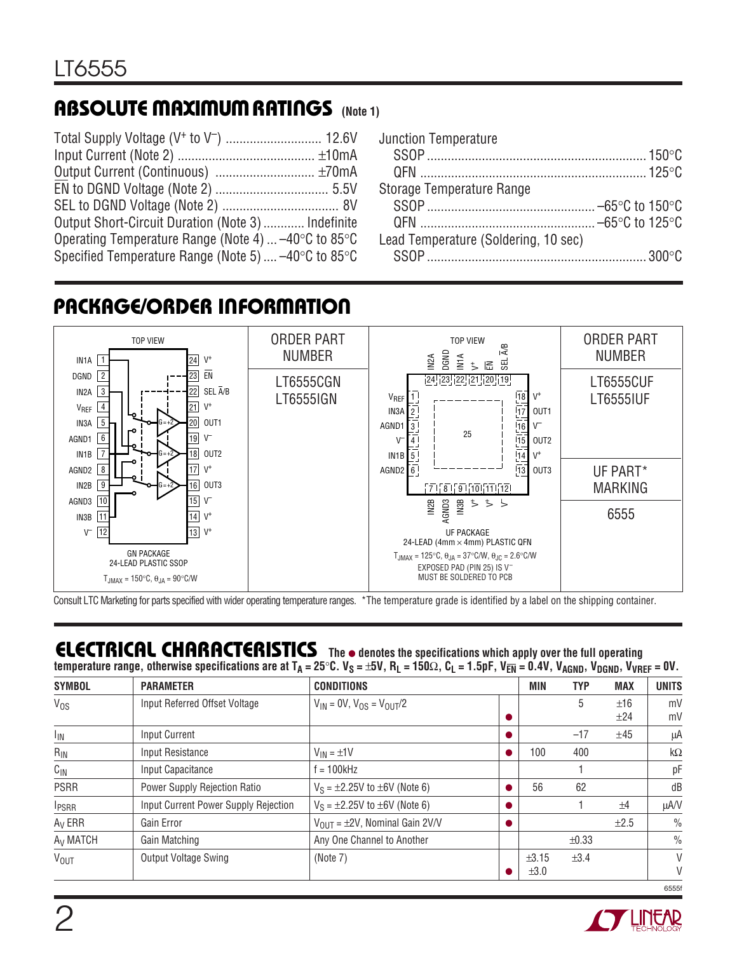### **ABSOLUTE MAXIMUM RATINGS** (Note 1)

| Output Short-Circuit Duration (Note 3)  Indefinite                      |  |
|-------------------------------------------------------------------------|--|
| Operating Temperature Range (Note 4) $-40^{\circ}$ C to 85 $^{\circ}$ C |  |
| Specified Temperature Range (Note 5) $-40^{\circ}$ C to 85 $^{\circ}$ C |  |

| <b>Junction Temperature</b>          |  |
|--------------------------------------|--|
|                                      |  |
|                                      |  |
| Storage Temperature Range            |  |
|                                      |  |
|                                      |  |
| Lead Temperature (Soldering, 10 sec) |  |
|                                      |  |

## **PACKAGE/ORDER INFORMATION**



Consult LTC Marketing for parts specified with wider operating temperature ranges. \*The temperature grade is identified by a label on the shipping container.

### **ELECTRICAL CHARACTERISTICS The** ● **denotes the specifications which apply over the full operating**

temperature range, otherwise specifications are at T<sub>A</sub> = 25°C. V<sub>S</sub> = ±5V, R<sub>L</sub> = 150Ω, C<sub>L</sub> = 1.5pF, V<sub>EN</sub> = 0.4V, V<sub>AGND</sub>, V<sub>DGND</sub>, V<sub>VREF</sub> = 0V.

| <b>SYMBOL</b>          | <b>PARAMETER</b>                     | <b>CONDITIONS</b>                        | MIN   | <b>TYP</b> | <b>MAX</b> | <b>UNITS</b>  |
|------------------------|--------------------------------------|------------------------------------------|-------|------------|------------|---------------|
| $V_{OS}$               | Input Referred Offset Voltage        | $V_{IN} = 0V$ , $V_{OS} = V_{OUT}/2$     |       | 5          | ±16        | mV            |
|                        |                                      |                                          |       |            | ±24        | mV            |
| <sup>I</sup> IN        | <b>Input Current</b>                 |                                          |       | $-17$      | ±45        | μA            |
| $R_{IN}$               | <b>Input Resistance</b>              | $V_{IN} = \pm 1V$                        | 100   | 400        |            | $k\Omega$     |
| $C_{IN}$               | Input Capacitance                    | $= 100$ kHz                              |       |            |            | pF            |
| <b>PSRR</b>            | Power Supply Rejection Ratio         | $V_S = \pm 2.25V$ to $\pm 6V$ (Note 6)   | 56    | 62         |            | dB            |
| <b>IPSRR</b>           | Input Current Power Supply Rejection | $V_S = \pm 2.25V$ to $\pm 6V$ (Note 6)   |       |            | ±4         | μA/V          |
| $A_V$ ERR              | Gain Error                           | $V_{OIII}$ = $\pm$ 2V, Nominal Gain 2V/V |       |            | ±2.5       | $\frac{0}{0}$ |
| A <sub>V</sub> MATCH   | Gain Matching                        | Any One Channel to Another               |       | $\pm 0.33$ |            | $\frac{0}{0}$ |
| <b>V<sub>OUT</sub></b> | Output Voltage Swing                 | (Note 7)                                 | ±3.15 | ±3.4       |            | V             |
|                        |                                      |                                          | ±3.0  |            |            | V             |

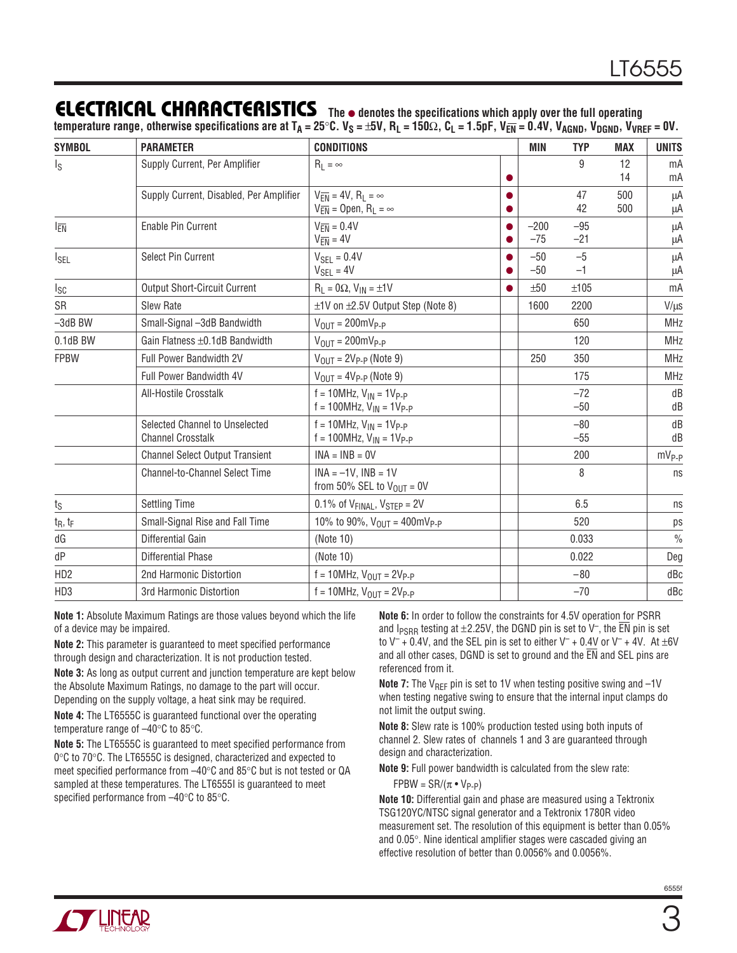### **ELECTRICAL CHARACTERISTICS The** ● **denotes the specifications which apply over the full operating**

 $t_{\text{c}}$  are the range, otherwise specifications are at T<sub>A</sub> = 25°C. V<sub>S</sub> = ±5V, R<sub>L</sub> = 150Ω, C<sub>L</sub> = 1.5pF, V<sub>EN</sub> = 0.4V, V<sub>AGND</sub>, V<sub>DGND</sub>, V<sub>VREF</sub> = 0V.

| <b>SYMBOL</b>           | <b>PARAMETER</b>                                           | <b>CONDITIONS</b>                                                                    |           | <b>MIN</b>      | <b>TYP</b>     | <b>MAX</b> | <b>UNITS</b>  |
|-------------------------|------------------------------------------------------------|--------------------------------------------------------------------------------------|-----------|-----------------|----------------|------------|---------------|
| $\mathsf{I}_\mathsf{S}$ | Supply Current, Per Amplifier                              | $R_L = \infty$                                                                       |           |                 | 9              | 12<br>14   | mA<br>mA      |
|                         | Supply Current, Disabled, Per Amplifier                    | $V_{\overline{FN}} = 4V, R_1 = \infty$<br>$V_{\overline{EN}} =$ Open, $R_L = \infty$ | 0         |                 | 47<br>42       | 500<br>500 | μA<br>μA      |
| I <sub>EN</sub>         | Enable Pin Current                                         | $V_{\overline{FN}} = 0.4V$<br>$V_{\overline{EN}} = 4V$                               |           | $-200$<br>$-75$ | $-95$<br>$-21$ |            | μA<br>μA      |
| <sup>I</sup> SEL        | Select Pin Current                                         | $V_{\text{SEL}} = 0.4V$<br>$V_{SEL} = 4V$                                            |           | $-50$<br>$-50$  | $-5$<br>$-1$   |            | μA<br>μA      |
| <sub>sc</sub>           | <b>Output Short-Circuit Current</b>                        | $R_L = 0\Omega$ , $V_{IN} = \pm 1V$                                                  | $\bullet$ | ±50             | ±105           |            | mA            |
| <b>SR</b>               | Slew Rate                                                  | $\pm$ 1V on $\pm$ 2.5V Output Step (Note 8)                                          |           | 1600            | 2200           |            | $V/\mu s$     |
| $-3dB$ BW               | Small-Signal -3dB Bandwidth                                | $V_{OIII} = 200$ m $V_{P-P}$                                                         |           |                 | 650            |            | <b>MHz</b>    |
| 0.1dB BW                | Gain Flatness ±0.1dB Bandwidth                             | $V_{OIII} = 200 \text{mVp-p}$                                                        |           |                 | 120            |            | <b>MHz</b>    |
| <b>FPBW</b>             | Full Power Bandwidth 2V                                    | $V_{OUT} = 2V_{P-P}$ (Note 9)                                                        |           | 250             | 350            |            | <b>MHz</b>    |
|                         | Full Power Bandwidth 4V                                    | $V_{OUT} = 4V_{P-P}$ (Note 9)                                                        |           |                 | 175            |            | <b>MHz</b>    |
|                         | All-Hostile Crosstalk                                      | $f = 10$ MHz, $V_{IN} = 1V_{P-P}$<br>$f = 100$ MHz, $V_{IN} = 1V_{P-P}$              |           |                 | $-72$<br>$-50$ |            | dB<br>dB      |
|                         | Selected Channel to Unselected<br><b>Channel Crosstalk</b> | $f = 10$ MHz, $V_{IN} = 1V_{P-P}$<br>$f = 100 MHz$ , $V_{IN} = 1V_{P-P}$             |           |                 | $-80$<br>$-55$ |            | dB<br>dB      |
|                         | <b>Channel Select Output Transient</b>                     | $INA = INB = OV$                                                                     |           |                 | 200            |            | $mV_{P-P}$    |
|                         | <b>Channel-to-Channel Select Time</b>                      | $INA = -1V$ , $INB = 1V$<br>from 50% SEL to $V_{\text{OUT}} = 0V$                    |           |                 | 8              |            | ns            |
| ts                      | <b>Settling Time</b>                                       | 0.1% of $V_{FINAL}$ , $V_{STEP} = 2V$                                                |           |                 | 6.5            |            | ns            |
| $t_R, t_F$              | Small-Signal Rise and Fall Time                            | 10% to 90%, $V_{OUT} = 400 \text{mV}_{P-P}$                                          |           |                 | 520            |            | ps            |
| dG                      | Differential Gain                                          | (Note 10)                                                                            |           |                 | 0.033          |            | $\frac{0}{0}$ |
| dP                      | <b>Differential Phase</b>                                  | (Note 10)                                                                            |           |                 | 0.022          |            | Deg           |
| HD <sub>2</sub>         | 2nd Harmonic Distortion                                    | $f = 10$ MHz, $V_{OUT} = 2V_{P-P}$                                                   |           |                 | $-80$          |            | dBc           |
| HD <sub>3</sub>         | 3rd Harmonic Distortion                                    | $f = 10$ MHz, $V_{OUT} = 2V_{P-P}$                                                   |           |                 | $-70$          |            | dBc           |

**Note 1:** Absolute Maximum Ratings are those values beyond which the life of a device may be impaired.

**Note 2:** This parameter is guaranteed to meet specified performance through design and characterization. It is not production tested.

**Note 3:** As long as output current and junction temperature are kept below the Absolute Maximum Ratings, no damage to the part will occur. Depending on the supply voltage, a heat sink may be required.

**Note 4:** The LT6555C is guaranteed functional over the operating temperature range of –40°C to 85°C.

**Note 5:** The LT6555C is guaranteed to meet specified performance from 0°C to 70°C. The LT6555C is designed, characterized and expected to meet specified performance from –40°C and 85°C but is not tested or QA sampled at these temperatures. The LT6555I is guaranteed to meet specified performance from –40°C to 85°C.

**Note 6:** In order to follow the constraints for 4.5V operation for PSRR and I<sub>PSRR</sub> testing at  $\pm$ 2.25V, the DGND pin is set to V<sup>-</sup>, the  $\overline{EN}$  pin is set to  $V^-$  + 0.4V, and the SEL pin is set to either  $V^-$  + 0.4V or  $V^-$  + 4V. At  $\pm 6V$ and all other cases, DGND is set to ground and the  $\overline{\text{EN}}$  and SEL pins are referenced from it.

**Note 7:** The V<sub>RFF</sub> pin is set to 1V when testing positive swing and -1V when testing negative swing to ensure that the internal input clamps do not limit the output swing.

**Note 8:** Slew rate is 100% production tested using both inputs of channel 2. Slew rates of channels 1 and 3 are guaranteed through design and characterization.

**Note 9:** Full power bandwidth is calculated from the slew rate:  $FPBW = SR/(\pi \cdot V_{P-P})$ 

**Note 10:** Differential gain and phase are measured using a Tektronix TSG120YC/NTSC signal generator and a Tektronix 1780R video measurement set. The resolution of this equipment is better than 0.05% and 0.05°. Nine identical amplifier stages were cascaded giving an effective resolution of better than 0.0056% and 0.0056%.

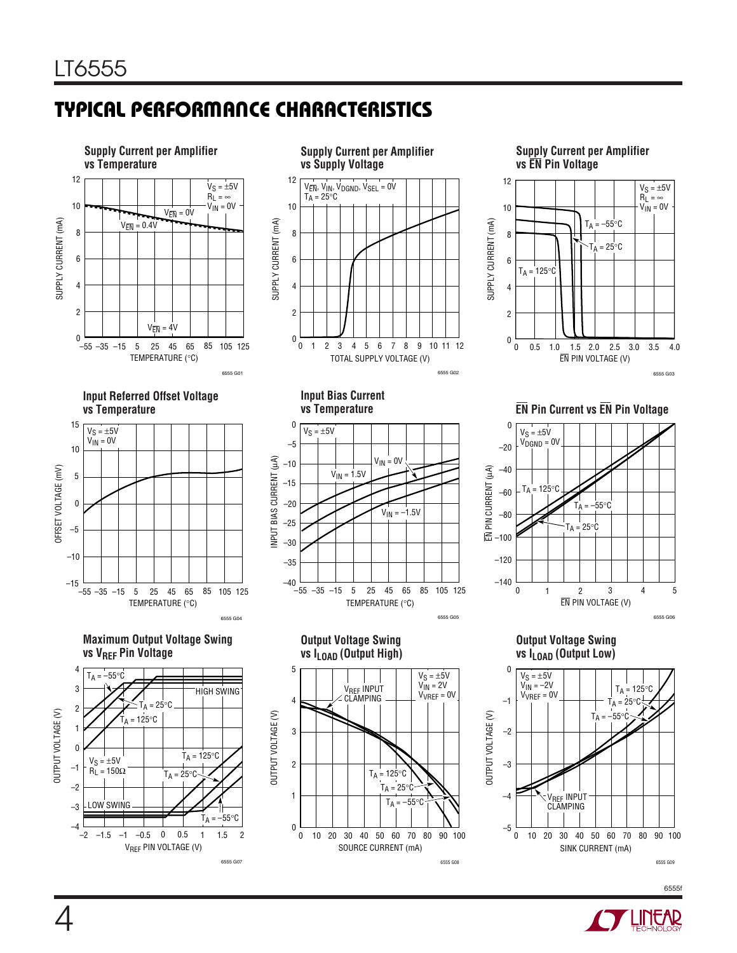### **TYPICAL PERFORMANCE CHARACTERISTICS**



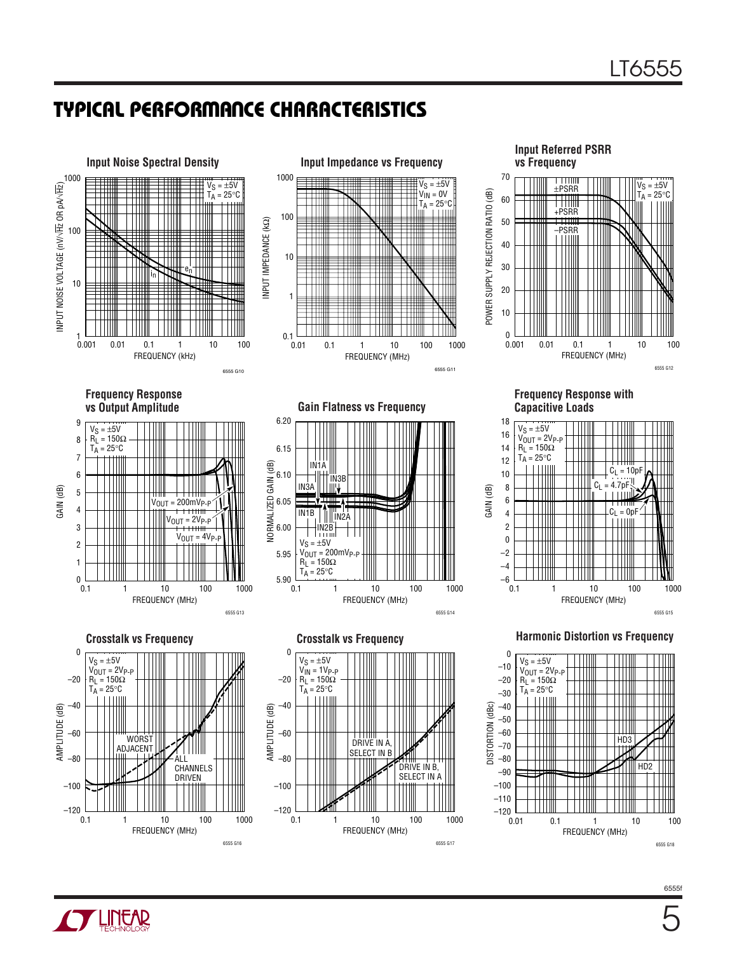### **TYPICAL PERFORMANCE CHARACTERISTICS**



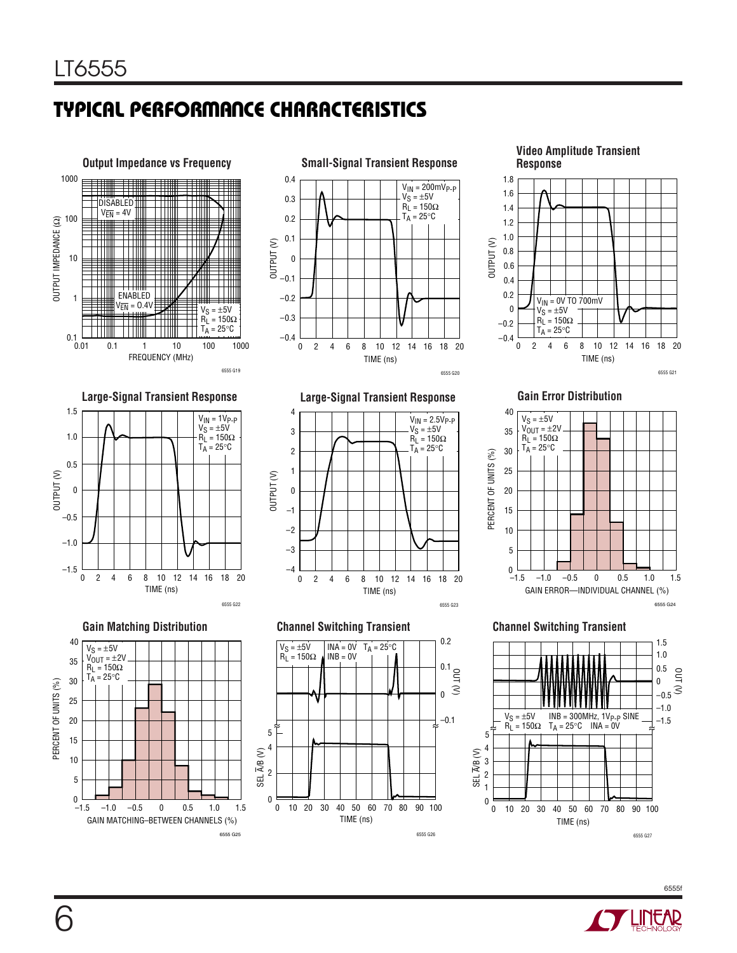### **TYPICAL PERFORMANCE CHARACTERISTICS**





**Gain Error Distribution**

6555 G21









6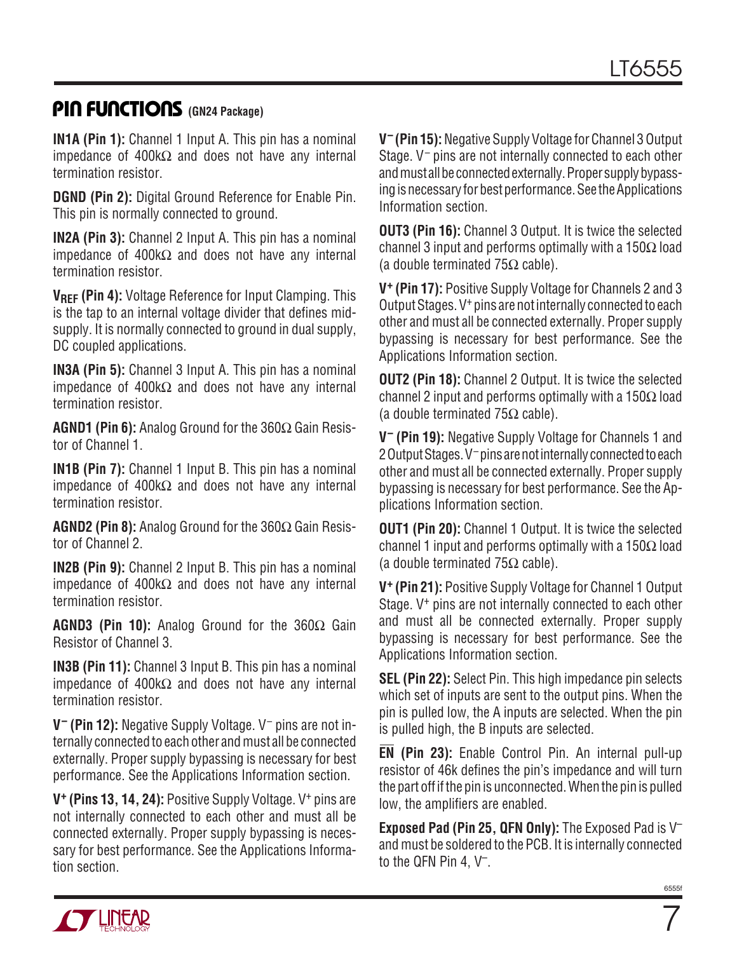### **PIN FUNCTIONS** (GN24 Package)

**IN1A (Pin 1):** Channel 1 Input A. This pin has a nominal impedance of 400kΩ and does not have any internal termination resistor.

**DGND (Pin 2):** Digital Ground Reference for Enable Pin. This pin is normally connected to ground.

**IN2A (Pin 3):** Channel 2 Input A. This pin has a nominal impedance of 400kΩ and does not have any internal termination resistor.

**VREF (Pin 4):** Voltage Reference for Input Clamping. This is the tap to an internal voltage divider that defines midsupply. It is normally connected to ground in dual supply, DC coupled applications.

**IN3A (Pin 5):** Channel 3 Input A. This pin has a nominal impedance of 400kΩ and does not have any internal termination resistor.

**AGND1 (Pin 6):** Analog Ground for the 360Ω Gain Resistor of Channel 1.

**IN1B (Pin 7):** Channel 1 Input B. This pin has a nominal impedance of 400kΩ and does not have any internal termination resistor.

**AGND2 (Pin 8):** Analog Ground for the 360Ω Gain Resistor of Channel 2.

**IN2B (Pin 9):** Channel 2 Input B. This pin has a nominal impedance of 400kΩ and does not have any internal termination resistor.

**AGND3 (Pin 10):** Analog Ground for the 360Ω Gain Resistor of Channel 3.

**IN3B (Pin 11):** Channel 3 Input B. This pin has a nominal impedance of 400kΩ and does not have any internal termination resistor.

**V– (Pin 12):** Negative Supply Voltage. V– pins are not internally connected to each other and must all be connected externally. Proper supply bypassing is necessary for best performance. See the Applications Information section.

**V+ (Pins 13, 14, 24):** Positive Supply Voltage. V+ pins are not internally connected to each other and must all be connected externally. Proper supply bypassing is necessary for best performance. See the Applications Information section.

**V– (Pin 15):** Negative Supply Voltage for Channel 3 Output Stage. V– pins are not internally connected to each other and must all be connected externally. Proper supply bypassing is necessary for best performance. See the Applications Information section.

**OUT3 (Pin 16):** Channel 3 Output. It is twice the selected channel 3 input and performs optimally with a 150 $\Omega$  load (a double terminated 75Ω cable).

**V+ (Pin 17):** Positive Supply Voltage for Channels 2 and 3 Output Stages. V+ pins are not internally connected to each other and must all be connected externally. Proper supply bypassing is necessary for best performance. See the Applications Information section.

**OUT2 (Pin 18):** Channel 2 Output. It is twice the selected channel 2 input and performs optimally with a 150Ω load (a double terminated 75Ω cable).

**V– (Pin 19):** Negative Supply Voltage for Channels 1 and 2 Output Stages. V– pins are not internally connected to each other and must all be connected externally. Proper supply bypassing is necessary for best performance. See the Applications Information section.

**OUT1 (Pin 20):** Channel 1 Output. It is twice the selected channel 1 input and performs optimally with a 150 $\Omega$  load (a double terminated 75Ω cable).

**V+ (Pin 21):** Positive Supply Voltage for Channel 1 Output Stage. V<sup>+</sup> pins are not internally connected to each other and must all be connected externally. Proper supply bypassing is necessary for best performance. See the Applications Information section.

**SEL (Pin 22):** Select Pin. This high impedance pin selects which set of inputs are sent to the output pins. When the pin is pulled low, the A inputs are selected. When the pin is pulled high, the B inputs are selected.

**EN (Pin 23):** Enable Control Pin. An internal pull-up resistor of 46k defines the pin's impedance and will turn the part off if the pin is unconnected. When the pin is pulled low, the amplifiers are enabled.

**Exposed Pad (Pin 25, QFN Only):** The Exposed Pad is V– and must be soldered to the PCB. It is internally connected to the QFN Pin 4, V–.

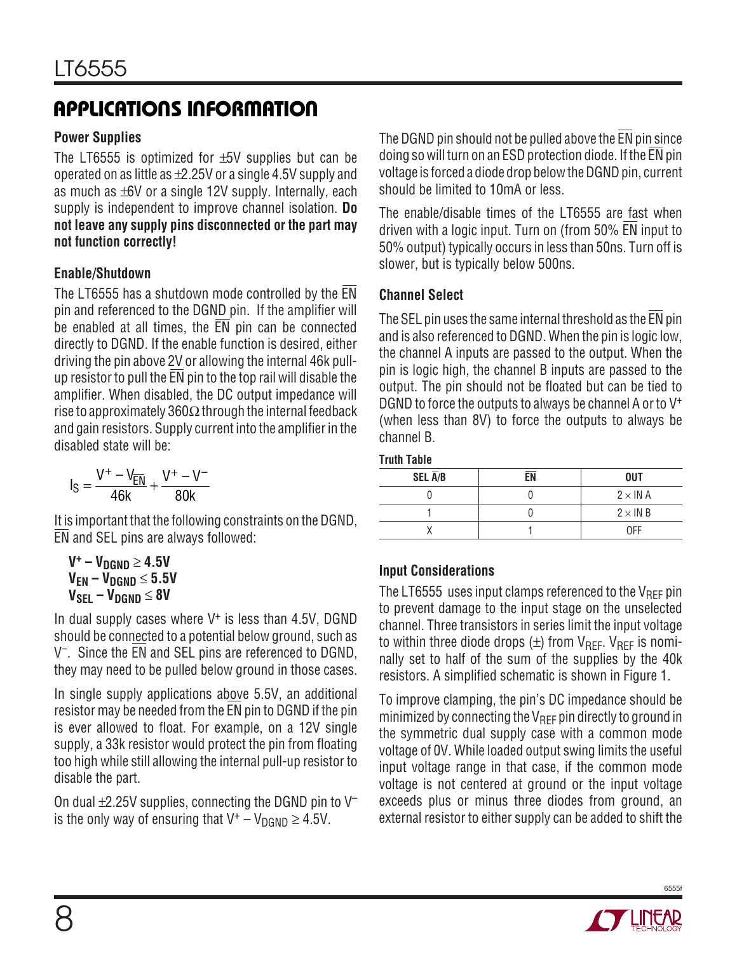#### **Power Supplies**

The LT6555 is optimized for  $\pm$ 5V supplies but can be operated on as little as  $\pm 2.25V$  or a single 4.5V supply and as much as  $\pm 6V$  or a single 12V supply. Internally, each supply is independent to improve channel isolation. **Do not leave any supply pins disconnected or the part may not function correctly!**

#### **Enable/Shutdown**

The LT6555 has a shutdown mode controlled by the EN pin and referenced to the DGND pin. If the amplifier will be enabled at all times, the  $\overline{EN}$  pin can be connected directly to DGND. If the enable function is desired, either driving the pin above 2V or allowing the internal 46k pullup resistor to pull the EN pin to the top rail will disable the amplifier. When disabled, the DC output impedance will rise to approximately 360 $\Omega$  through the internal feedback and gain resistors. Supply current into the amplifier in the disabled state will be:

$$
I_S = \frac{V^+ - V_{\overline{EN}}}{46k} + \frac{V^+ - V^-}{80k}
$$

It is important that the following constraints on the DGND, EN and SEL pins are always followed:

$$
V^+ - V_{DGND} \ge 4.5V
$$
  
\n
$$
V_{EN} - V_{DGND} \le 5.5V
$$
  
\n
$$
V_{SEL} - V_{DGND} \le 8V
$$

In dual supply cases where  $V^+$  is less than 4.5V, DGND should be connected to a potential below ground, such as V–. Since the EN and SEL pins are referenced to DGND, they may need to be pulled below ground in those cases.

In single supply applications above 5.5V, an additional resistor may be needed from the EN pin to DGND if the pin is ever allowed to float. For example, on a 12V single supply, a 33k resistor would protect the pin from floating too high while still allowing the internal pull-up resistor to disable the part.

On dual  $\pm$ 2.25V supplies, connecting the DGND pin to V<sup>-</sup> is the only way of ensuring that  $V^+ - V_{\text{DGND}} \geq 4.5V$ .

The DGND pin should not be pulled above the EN pin since doing so will turn on an ESD protection diode. If the EN pin voltage is forced a diode drop below the DGND pin, current should be limited to 10mA or less.

The enable/disable times of the LT6555 are fast when driven with a logic input. Turn on (from 50% EN input to 50% output) typically occurs in less than 50ns. Turn off is slower, but is typically below 500ns.

#### **Channel Select**

The SEL pin uses the same internal threshold as the  $\overline{\text{EN}}$  pin and is also referenced to DGND. When the pin is logic low, the channel A inputs are passed to the output. When the pin is logic high, the channel B inputs are passed to the output. The pin should not be floated but can be tied to DGND to force the outputs to always be channel A or to  $V^+$ (when less than 8V) to force the outputs to always be channel B.

#### **Truth Table**

| SEL $\overline{A}/B$ | FN | <b>OUT</b>     |
|----------------------|----|----------------|
|                      |    | $2 \times INA$ |
|                      |    | $2 \times INB$ |
|                      |    | 0FF            |

### **Input Considerations**

The LT6555 uses input clamps referenced to the  $V_{\text{RFF}}$  pin to prevent damage to the input stage on the unselected channel. Three transistors in series limit the input voltage to within three diode drops  $(\pm)$  from  $V_{RFF}$ .  $V_{RFF}$  is nominally set to half of the sum of the supplies by the 40k resistors. A simplified schematic is shown in Figure 1.

To improve clamping, the pin's DC impedance should be minimized by connecting the  $V_{\text{RFF}}$  pin directly to ground in the symmetric dual supply case with a common mode voltage of 0V. While loaded output swing limits the useful input voltage range in that case, if the common mode voltage is not centered at ground or the input voltage exceeds plus or minus three diodes from ground, an external resistor to either supply can be added to shift the

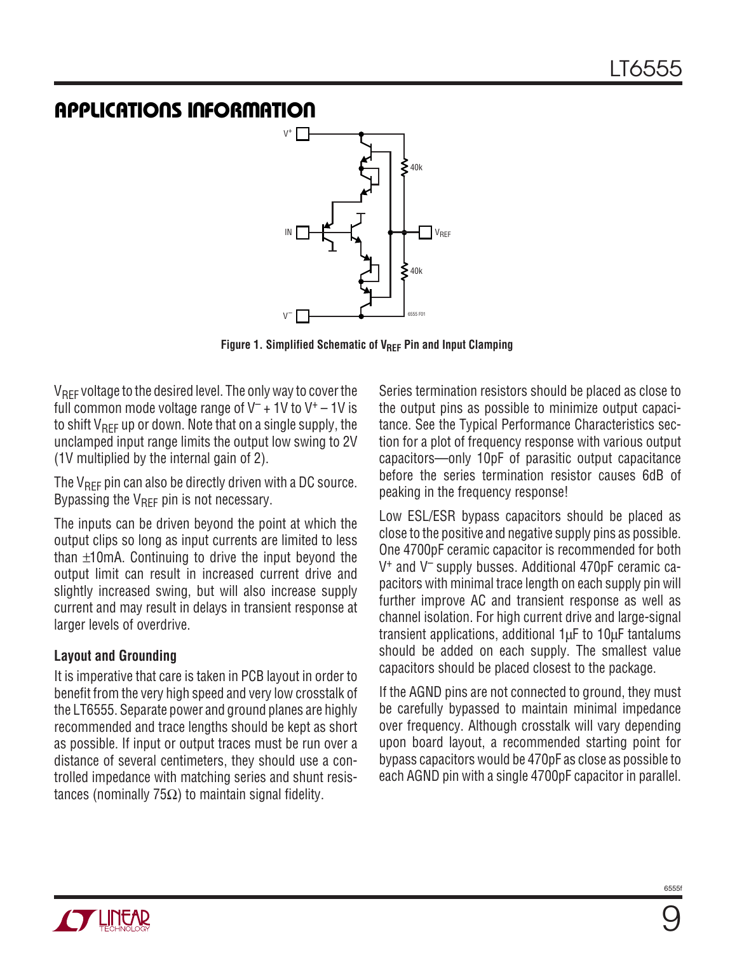

Figure 1. Simplified Schematic of V<sub>REF</sub> Pin and Input Clamping

 $V_{\text{RFF}}$  voltage to the desired level. The only way to cover the full common mode voltage range of  $V^-$  + 1V to  $V^+$  – 1V is to shift  $V_{REF}$  up or down. Note that on a single supply, the unclamped input range limits the output low swing to 2V (1V multiplied by the internal gain of 2).

The  $V_{REF}$  pin can also be directly driven with a DC source. Bypassing the  $V_{\text{RFF}}$  pin is not necessary.

The inputs can be driven beyond the point at which the output clips so long as input currents are limited to less than ±10mA. Continuing to drive the input beyond the output limit can result in increased current drive and slightly increased swing, but will also increase supply current and may result in delays in transient response at larger levels of overdrive.

#### **Layout and Grounding**

It is imperative that care is taken in PCB layout in order to benefit from the very high speed and very low crosstalk of the LT6555. Separate power and ground planes are highly recommended and trace lengths should be kept as short as possible. If input or output traces must be run over a distance of several centimeters, they should use a controlled impedance with matching series and shunt resistances (nominally 75 $\Omega$ ) to maintain signal fidelity.

Series termination resistors should be placed as close to the output pins as possible to minimize output capacitance. See the Typical Performance Characteristics section for a plot of frequency response with various output capacitors—only 10pF of parasitic output capacitance before the series termination resistor causes 6dB of peaking in the frequency response!

Low ESL/ESR bypass capacitors should be placed as close to the positive and negative supply pins as possible. One 4700pF ceramic capacitor is recommended for both V+ and V– supply busses. Additional 470pF ceramic capacitors with minimal trace length on each supply pin will further improve AC and transient response as well as channel isolation. For high current drive and large-signal transient applications, additional 1µF to 10µF tantalums should be added on each supply. The smallest value capacitors should be placed closest to the package.

If the AGND pins are not connected to ground, they must be carefully bypassed to maintain minimal impedance over frequency. Although crosstalk will vary depending upon board layout, a recommended starting point for bypass capacitors would be 470pF as close as possible to each AGND pin with a single 4700pF capacitor in parallel.

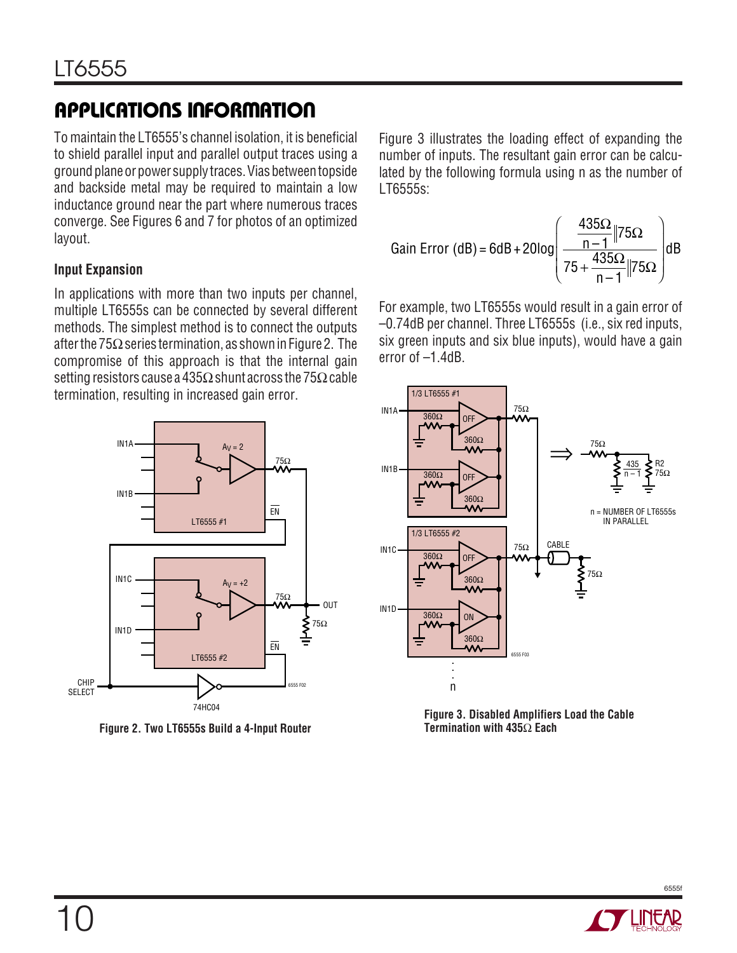To maintain the LT6555's channel isolation, it is beneficial to shield parallel input and parallel output traces using a ground plane or power supply traces. Vias between topside and backside metal may be required to maintain a low inductance ground near the part where numerous traces converge. See Figures 6 and 7 for photos of an optimized layout.

#### **Input Expansion**

In applications with more than two inputs per channel, multiple LT6555s can be connected by several different methods. The simplest method is to connect the outputs after the  $75\Omega$  series termination, as shown in Figure 2. The compromise of this approach is that the internal gain setting resistors cause a 435 $\Omega$  shunt across the 75 $\Omega$  cable termination, resulting in increased gain error.



**Figure 2. Two LT6555s Build a 4-Input Router**

Figure 3 illustrates the loading effect of expanding the number of inputs. The resultant gain error can be calculated by the following formula using n as the number of LT6555s:

Gain Error (dB) = 6dB + 20log 
$$
\left(\frac{\frac{435\Omega}{n-1}||75\Omega}{75 + \frac{435\Omega}{n-1}||75\Omega}\right)
$$
dB

For example, two LT6555s would result in a gain error of –0.74dB per channel. Three LT6555s (i.e., six red inputs, six green inputs and six blue inputs), would have a gain error of –1.4dB.



**Figure 3. Disabled Amplifiers Load the Cable Termination with 435**Ω **Each**

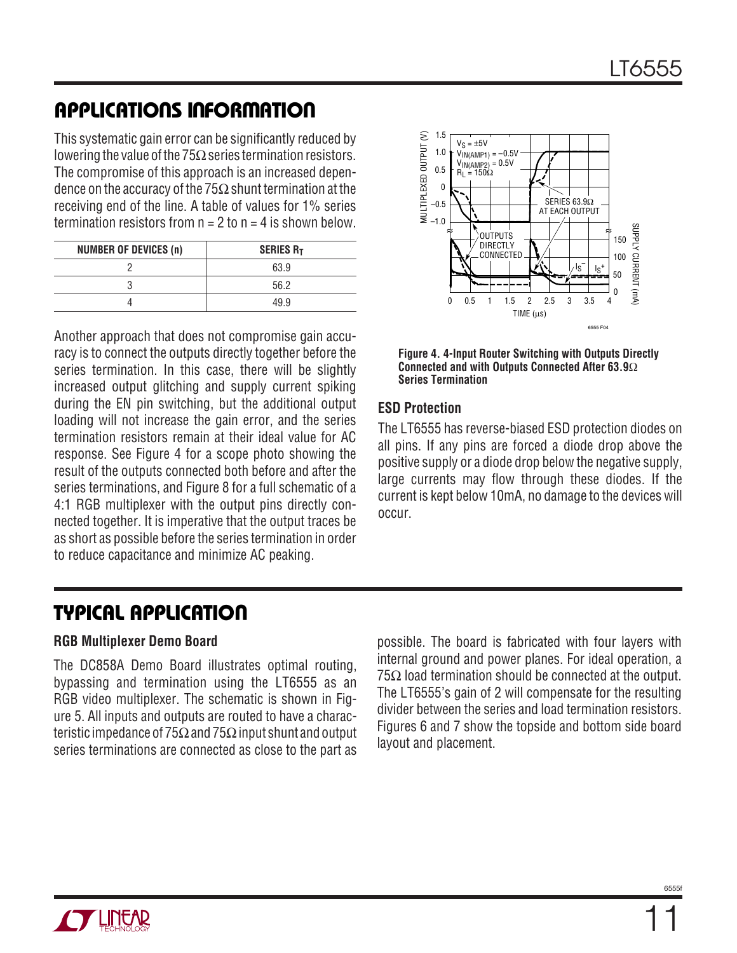This systematic gain error can be significantly reduced by lowering the value of the 75 $\Omega$  series termination resistors. The compromise of this approach is an increased dependence on the accuracy of the 75 $\Omega$  shunt termination at the receiving end of the line. A table of values for 1% series termination resistors from  $n = 2$  to  $n = 4$  is shown below.

| <b>NUMBER OF DEVICES (n)</b> | <b>SERIES RT</b> |
|------------------------------|------------------|
|                              | 63.9             |
|                              | 56.2             |
|                              | 19 9             |

Another approach that does not compromise gain accuracy is to connect the outputs directly together before the series termination. In this case, there will be slightly increased output glitching and supply current spiking during the EN pin switching, but the additional output loading will not increase the gain error, and the series termination resistors remain at their ideal value for AC response. See Figure 4 for a scope photo showing the result of the outputs connected both before and after the series terminations, and Figure 8 for a full schematic of a 4:1 RGB multiplexer with the output pins directly connected together. It is imperative that the output traces be as short as possible before the series termination in order to reduce capacitance and minimize AC peaking.



**Figure 4. 4-Input Router Switching with Outputs Directly Connected and with Outputs Connected After 63.9**Ω **Series Termination**

#### **ESD Protection**

The LT6555 has reverse-biased ESD protection diodes on all pins. If any pins are forced a diode drop above the positive supply or a diode drop below the negative supply, large currents may flow through these diodes. If the current is kept below 10mA, no damage to the devices will occur.

### **TYPICAL APPLICATIO U**

#### **RGB Multiplexer Demo Board**

The DC858A Demo Board illustrates optimal routing, bypassing and termination using the LT6555 as an RGB video multiplexer. The schematic is shown in Figure 5. All inputs and outputs are routed to have a characteristic impedance of 75 $\Omega$  and 75 $\Omega$  input shunt and output series terminations are connected as close to the part as

possible. The board is fabricated with four layers with internal ground and power planes. For ideal operation, a 75 $Ω$  load termination should be connected at the output. The LT6555's gain of 2 will compensate for the resulting divider between the series and load termination resistors. Figures 6 and 7 show the topside and bottom side board layout and placement.

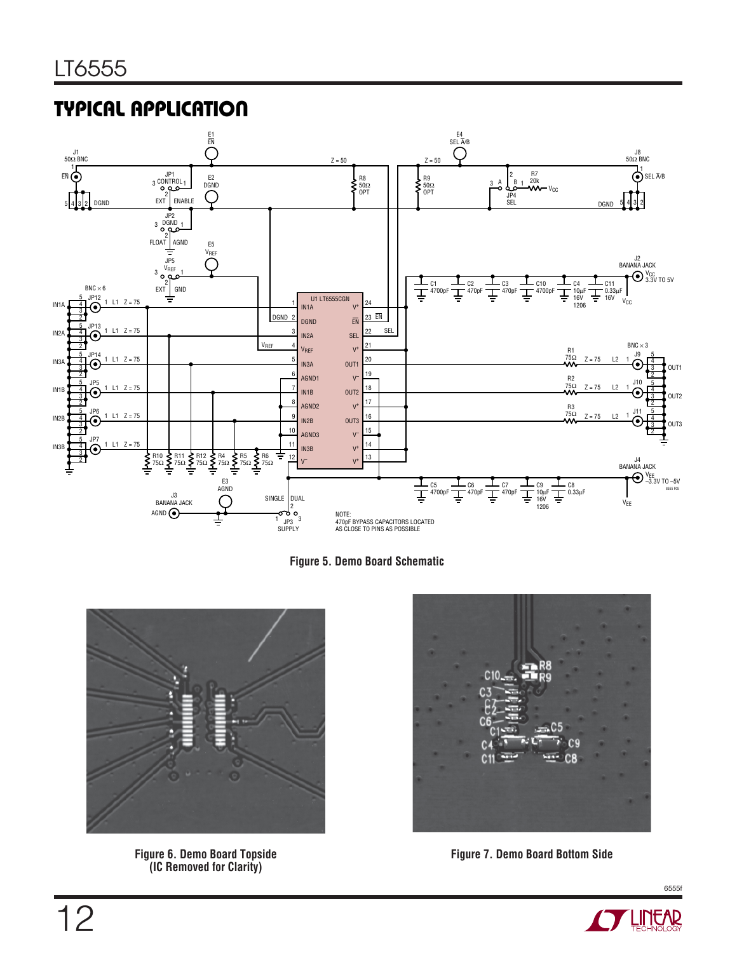### **TYPICAL APPLICATION**







**Figure 6. Demo Board Topside (IC Removed for Clarity)**



**Figure 7. Demo Board Bottom Side**

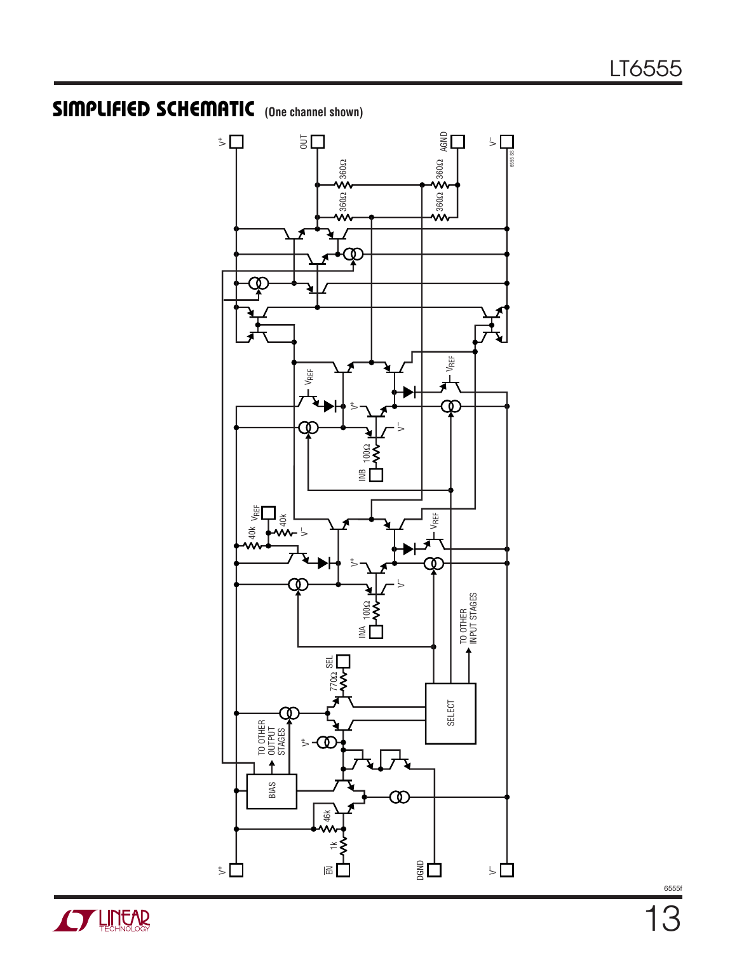# **SIMPLIFIED SCHEMATIC** (One channel shown)



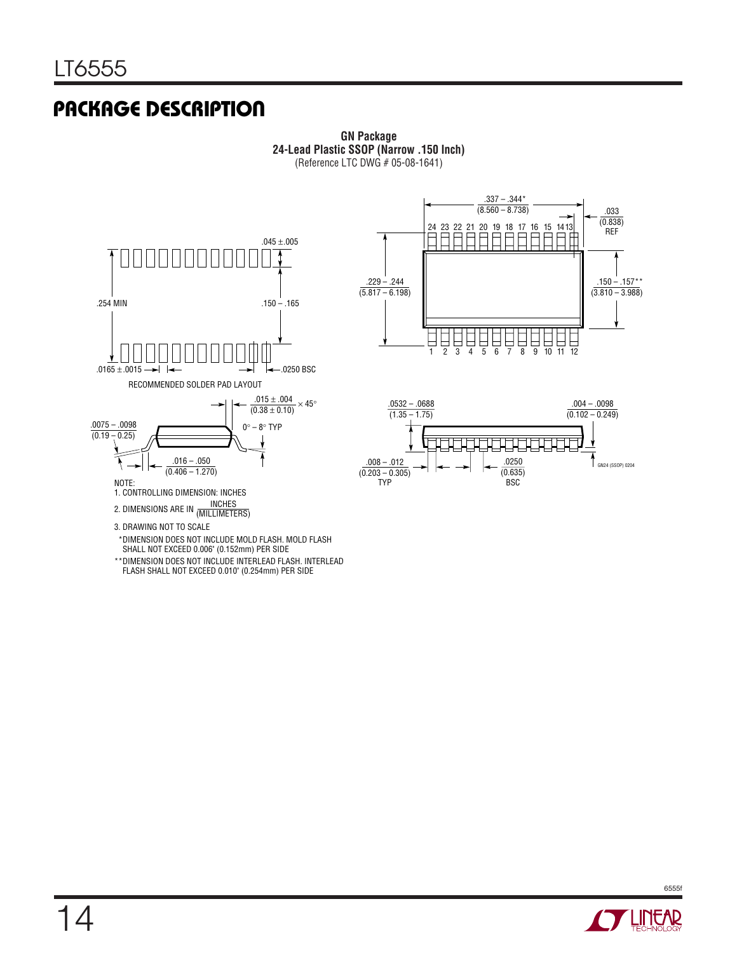### **PACKAGE DESCRIPTION**



**GN Package 24-Lead Plastic SSOP (Narrow .150 Inch)** (Reference LTC DWG # 05-08-1641)





\*DIMENSION DOES NOT INCLUDE MOLD FLASH. MOLD FLASH

- SHALL NOT EXCEED 0.006" (0.152mm) PER SIDE
- \*\*DIMENSION DOES NOT INCLUDE INTERLEAD FLASH. INTERLEAD FLASH SHALL NOT EXCEED 0.010" (0.254mm) PER SIDE

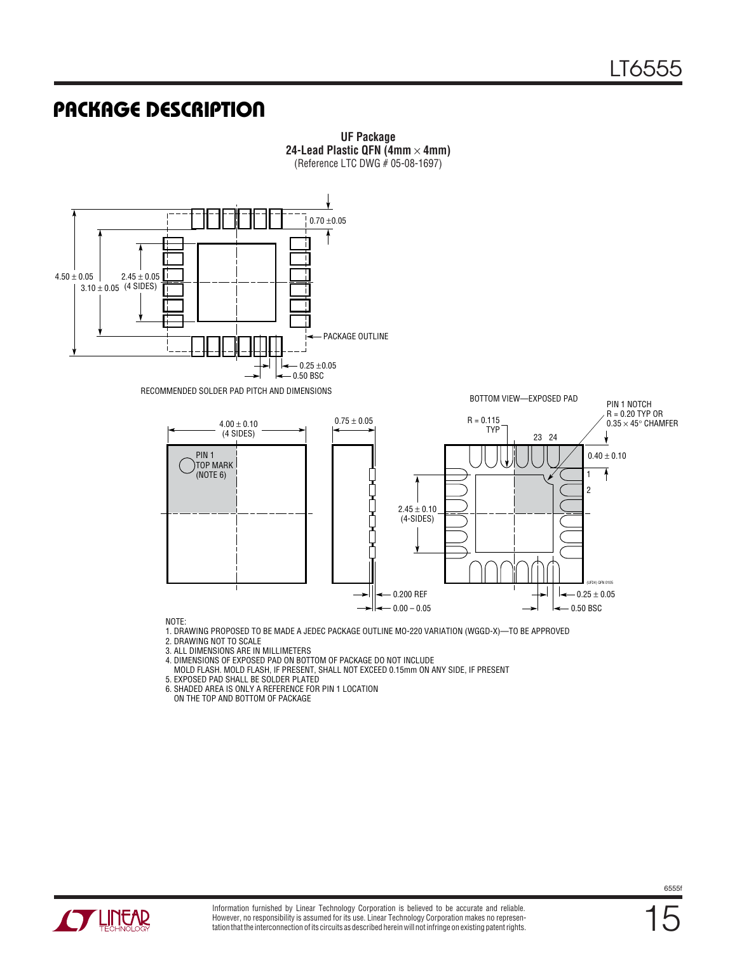### **PACKAGE DESCRIPTION**



**UF Package 24-Lead Plastic QFN (4mm** × **4mm)**

NOTE:

1. DRAWING PROPOSED TO BE MADE A JEDEC PACKAGE OUTLINE MO-220 VARIATION (WGGD-X)—TO BE APPROVED

2. DRAWING NOT TO SCALE

3. ALL DIMENSIONS ARE IN MILLIMETERS

4. DIMENSIONS OF EXPOSED PAD ON BOTTOM OF PACKAGE DO NOT INCLUDE

MOLD FLASH. MOLD FLASH, IF PRESENT, SHALL NOT EXCEED 0.15mm ON ANY SIDE, IF PRESENT

5. EXPOSED PAD SHALL BE SOLDER PLATED

6. SHADED AREA IS ONLY A REFERENCE FOR PIN 1 LOCATION

ON THE TOP AND BOTTOM OF PACKAGE